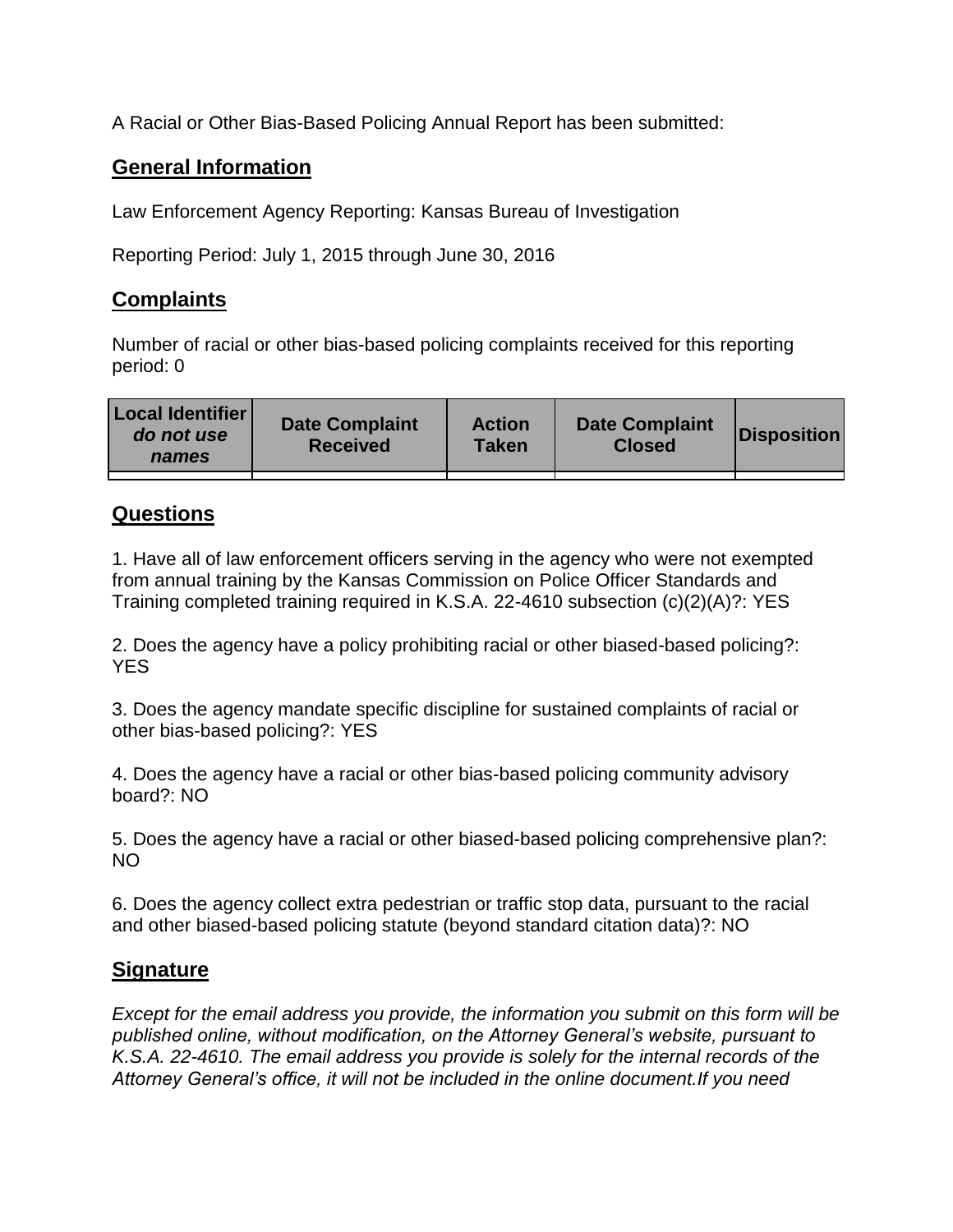A Racial or Other Bias-Based Policing Annual Report has been submitted:

## **General Information**

Law Enforcement Agency Reporting: Kansas Bureau of Investigation

Reporting Period: July 1, 2015 through June 30, 2016

## **Complaints**

Number of racial or other bias-based policing complaints received for this reporting period: 0

| <b>Local Identifier</b><br>do not use<br>names | <b>Date Complaint</b><br><b>Received</b> | <b>Action</b><br><b>Taken</b> | <b>Date Complaint</b><br><b>Closed</b> | Disposition |
|------------------------------------------------|------------------------------------------|-------------------------------|----------------------------------------|-------------|
|                                                |                                          |                               |                                        |             |

## **Questions**

1. Have all of law enforcement officers serving in the agency who were not exempted from annual training by the Kansas Commission on Police Officer Standards and Training completed training required in K.S.A. 22-4610 subsection (c)(2)(A)?: YES

2. Does the agency have a policy prohibiting racial or other biased-based policing?: YES

3. Does the agency mandate specific discipline for sustained complaints of racial or other bias-based policing?: YES

4. Does the agency have a racial or other bias-based policing community advisory board?: NO

5. Does the agency have a racial or other biased-based policing comprehensive plan?: NO

6. Does the agency collect extra pedestrian or traffic stop data, pursuant to the racial and other biased-based policing statute (beyond standard citation data)?: NO

## **Signature**

*Except for the email address you provide, the information you submit on this form will be published online, without modification, on the Attorney General's website, pursuant to K.S.A. 22-4610. The email address you provide is solely for the internal records of the Attorney General's office, it will not be included in the online document.If you need*